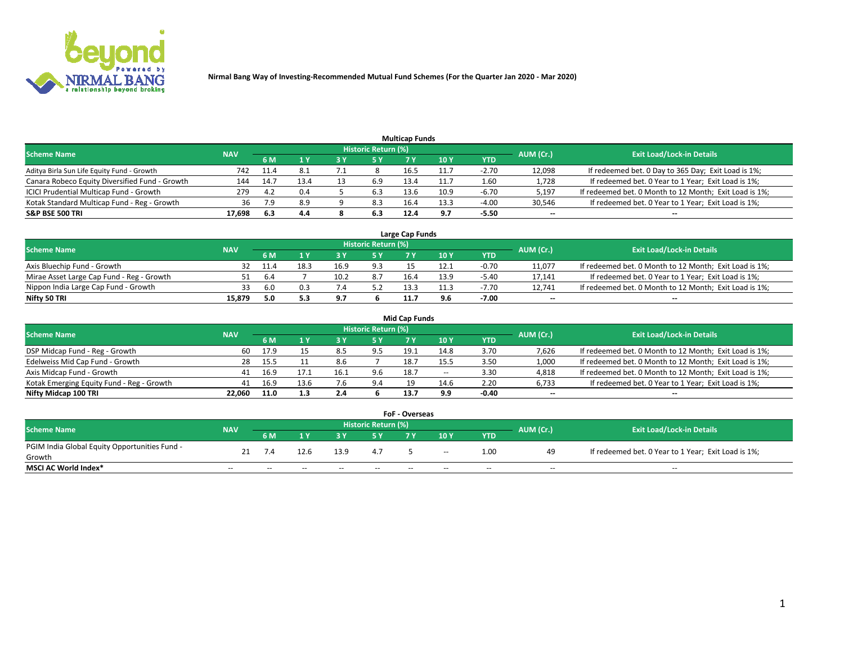

| <b>Multicap Funds</b>                          |            |      |      |  |                     |      |      |         |           |                                                        |  |  |  |  |
|------------------------------------------------|------------|------|------|--|---------------------|------|------|---------|-----------|--------------------------------------------------------|--|--|--|--|
| <b>Scheme Name</b>                             | <b>NAV</b> |      |      |  | Historic Return (%) |      |      |         | AUM (Cr.) | <b>Exit Load/Lock-in Details</b>                       |  |  |  |  |
|                                                |            | 6 M  |      |  | 5 Y                 |      | 10 Y | YTD     |           |                                                        |  |  |  |  |
| Aditya Birla Sun Life Equity Fund - Growth     | 742        | 11.4 |      |  |                     | 16.5 |      | $-2.70$ | 12,098    | If redeemed bet. 0 Day to 365 Day; Exit Load is 1%;    |  |  |  |  |
| Canara Robeco Equity Diversified Fund - Growth | 144        | 14.7 | 13.4 |  | 6.9                 | 13.4 | 11.7 | 1.60    | 1,728     | If redeemed bet. 0 Year to 1 Year; Exit Load is 1%;    |  |  |  |  |
| ICICI Prudential Multicap Fund - Growth        | 279        | 4.2  | 0.4  |  | 6.3                 | 13.6 | 10.9 | $-6.70$ | 5,197     | If redeemed bet. 0 Month to 12 Month; Exit Load is 1%; |  |  |  |  |
| Kotak Standard Multicap Fund - Reg - Growth    | 36         |      | 8.9  |  | 8.3                 | 16.4 | 13.3 | $-4.00$ | 30,546    | If redeemed bet. 0 Year to 1 Year; Exit Load is 1%;    |  |  |  |  |
| <b>S&amp;P BSE 500 TRI</b>                     | 17.698     | -6.3 | 4.4  |  | 6.3                 | 12.4 | 9.7  | $-5.50$ | $\sim$    | $-$                                                    |  |  |  |  |

| Large Cap Funds                           |            |           |                                  |      |     |      |      |         |        |                                                        |  |  |  |  |
|-------------------------------------------|------------|-----------|----------------------------------|------|-----|------|------|---------|--------|--------------------------------------------------------|--|--|--|--|
| Scheme Name                               | <b>NAV</b> | AUM (Cr.) | <b>Exit Load/Lock-in Details</b> |      |     |      |      |         |        |                                                        |  |  |  |  |
|                                           |            | 6 M       |                                  |      | 5 Y |      | 10Y  | YTD     |        |                                                        |  |  |  |  |
| Axis Bluechip Fund - Growth               |            |           | 18.3                             | 16.9 | 9.3 |      | 12.1 | $-0.70$ | 11,077 | If redeemed bet. 0 Month to 12 Month; Exit Load is 1%; |  |  |  |  |
| Mirae Asset Large Cap Fund - Reg - Growth |            | b.4       |                                  | 10.2 | 8.7 | 16.4 | 13.9 | $-5.40$ | 17,141 | If redeemed bet. 0 Year to 1 Year; Exit Load is 1%;    |  |  |  |  |
| Nippon India Large Cap Fund - Growth      |            | 6.0       |                                  |      |     | 12:  | 11.3 | -7.70   | 12.741 | If redeemed bet. 0 Month to 12 Month; Exit Load is 1%; |  |  |  |  |
| Nifty 50 TRI                              | 15.879     | 5.0       | 5.3                              | 9.7  |     |      | 9.6  | $-7.00$ | $\sim$ | $-$                                                    |  |  |  |  |

|                                           |            |      |      |      |                     | <b>Mid Cap Funds</b> |        |            |           |                                                        |
|-------------------------------------------|------------|------|------|------|---------------------|----------------------|--------|------------|-----------|--------------------------------------------------------|
| <b>Scheme Name</b>                        | <b>NAV</b> |      |      |      | Historic Return (%) |                      |        |            | AUM (Cr.) | <b>Exit Load/Lock-in Details</b>                       |
|                                           |            | 6 M  |      |      |                     |                      | 10Y    | <b>YTD</b> |           |                                                        |
| DSP Midcap Fund - Reg - Growth            | 60         | 17.9 |      |      | 9.5                 | 19.1                 | 14.8   | 3.70       | 7,626     | If redeemed bet. 0 Month to 12 Month; Exit Load is 1%; |
| Edelweiss Mid Cap Fund - Growth           | 28         | 15.5 |      | 8.6  |                     | 18.7                 |        | 3.50       | 1,000     | If redeemed bet. 0 Month to 12 Month; Exit Load is 1%; |
| Axis Midcap Fund - Growth                 | 41         | 16.9 |      | 16.1 | 9.6                 | 18.7                 | $\sim$ | 3.30       | 4,818     | If redeemed bet. 0 Month to 12 Month; Exit Load is 1%; |
| Kotak Emerging Equity Fund - Reg - Growth | 41         | 16.9 | 13.6 | 7.6  | 9.4                 | 19                   | 14.6   | 2.20       | 6,733     | If redeemed bet. 0 Year to 1 Year; Exit Load is 1%;    |
| Nifty Midcap 100 TRI                      | 22.060     | 11.0 | 1.3  | 2.4  |                     | 13.7                 | 9.9    | $-0.40$    | $\sim$    |                                                        |

| <b>FoF - Overseas</b>                         |            |       |       |       |                            |     |       |            |           |                                                     |  |  |  |
|-----------------------------------------------|------------|-------|-------|-------|----------------------------|-----|-------|------------|-----------|-----------------------------------------------------|--|--|--|
| <b>Scheme Name</b>                            | <b>NAV</b> |       |       |       | <b>Historic Return (%)</b> |     |       |            | AUM (Cr.) | <b>Exit Load/Lock-in Details</b>                    |  |  |  |
|                                               |            | 6 M   | 1 V   |       |                            | 7 V | 10Y   | <b>YTD</b> |           |                                                     |  |  |  |
| PGIM India Global Equity Opportunities Fund - |            |       | 12.6  | 13.9  | 4.7                        |     |       | 1.00       | 49        | If redeemed bet. 0 Year to 1 Year; Exit Load is 1%; |  |  |  |
| Growth                                        |            | 7.4   |       |       |                            |     | $-$   |            |           |                                                     |  |  |  |
| <b>MSCI AC World Index*</b>                   | $- -$      | $- -$ | $- -$ | $- -$ | $- -$                      | $-$ | $- -$ | $- -$      | $- -$     | $- -$                                               |  |  |  |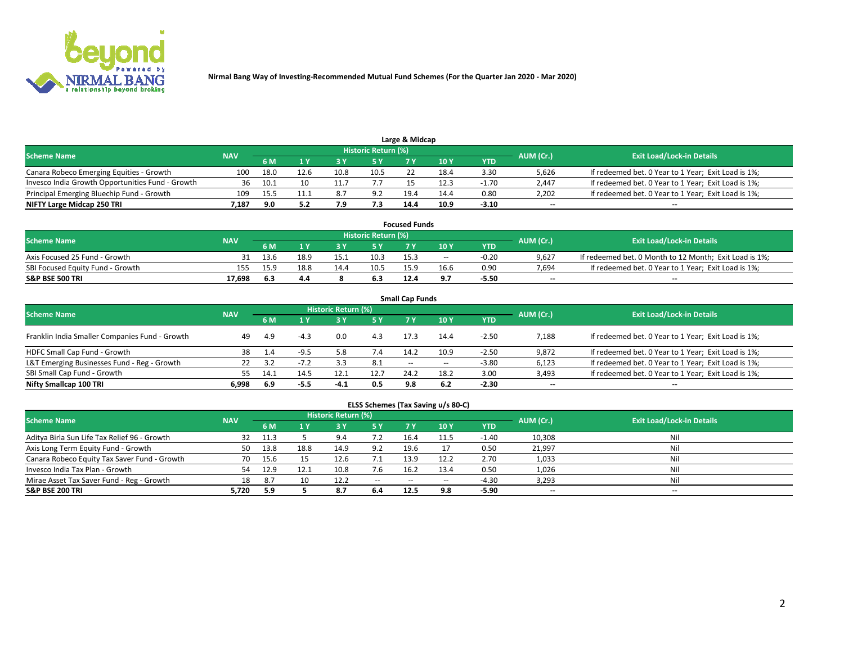

| Large & Midcap                                   |            |      |      |       |                     |      |      |         |                          |                                                     |  |  |  |  |
|--------------------------------------------------|------------|------|------|-------|---------------------|------|------|---------|--------------------------|-----------------------------------------------------|--|--|--|--|
| <b>Scheme Name</b>                               | <b>NAV</b> |      |      |       | Historic Return (%) |      |      |         | AUM (Cr.)                | <b>Exit Load/Lock-in Details</b>                    |  |  |  |  |
|                                                  |            | 6 M  |      |       | 5 Y                 |      | 10Y  | YTD.    |                          |                                                     |  |  |  |  |
| Canara Robeco Emerging Equities - Growth         | 100        | 18.0 | 12.6 | 10.8  | 10.5                |      | 18.4 | 3.30    | 5,626                    | If redeemed bet. 0 Year to 1 Year; Exit Load is 1%; |  |  |  |  |
| Invesco India Growth Opportunities Fund - Growth |            | 10.1 | 10   |       |                     |      | 12.3 | $-1.70$ | 2,447                    | If redeemed bet. 0 Year to 1 Year; Exit Load is 1%; |  |  |  |  |
| Principal Emerging Bluechip Fund - Growth        | 109        | 15.5 |      | 8.    | 9.2                 | 19.4 | 14.4 | 0.80    | 2,202                    | If redeemed bet. 0 Year to 1 Year; Exit Load is 1%; |  |  |  |  |
| NIFTY Large Midcap 250 TRI                       | 7.187      | 9.0  |      | , , , | 7.3                 | 14.4 | 10.9 | $-3.10$ | $\overline{\phantom{a}}$ | $- -$                                               |  |  |  |  |

| <b>Focused Funds</b>             |            |      |      |      |                     |      |       |            |                          |                                                        |  |  |  |
|----------------------------------|------------|------|------|------|---------------------|------|-------|------------|--------------------------|--------------------------------------------------------|--|--|--|
| <b>Scheme Name</b>               | <b>NAV</b> |      |      |      | Historic Return (%) |      |       |            | AUM (Cr.)                | <b>Exit Load/Lock-in Details</b>                       |  |  |  |
|                                  |            | 6 M  |      |      |                     |      | 10 Y  | <b>YTD</b> |                          |                                                        |  |  |  |
| Axis Focused 25 Fund - Growth    |            | 13.6 | 18.9 | 15.1 | 10.3                | 15.3 | $- -$ | $-0.20$    | 9.627                    | If redeemed bet. 0 Month to 12 Month; Exit Load is 1%; |  |  |  |
| SBI Focused Equity Fund - Growth | 155        | 15.9 | 18.8 | 14.4 | 10.5                | 15.9 | 16.6  | 0.90       | 7.694                    | If redeemed bet. 0 Year to 1 Year: Exit Load is 1%:    |  |  |  |
| <b>S&amp;P BSE 500 TRI</b>       | 17.698     | 6.3  | 4.4  |      | 6.3                 | 12.4 | ດ 7   | $-5.50$    | $\overline{\phantom{a}}$ | $\overline{\phantom{a}}$                               |  |  |  |

|                                                |            |           |        |                            |      | <b>Small Cap Funds</b> |        |            |           |                                                     |
|------------------------------------------------|------------|-----------|--------|----------------------------|------|------------------------|--------|------------|-----------|-----------------------------------------------------|
| <b>Scheme Name</b>                             | <b>NAV</b> |           |        | <b>Historic Return (%)</b> |      |                        |        |            | AUM (Cr.) | <b>Exit Load/Lock-in Details</b>                    |
|                                                |            | <b>6M</b> |        |                            | 5 Y  | 7 Y                    | 10Y    | <b>YTD</b> |           |                                                     |
| Franklin India Smaller Companies Fund - Growth | 49         | 4.9       | $-4.3$ | 0.0                        | 4.3  | 17.3                   | 14.4   | $-2.50$    | 7,188     | If redeemed bet. 0 Year to 1 Year; Exit Load is 1%; |
| HDFC Small Cap Fund - Growth                   | 38         |           | $-9.5$ | 5.8                        | 7.4  | 14.2                   | 10.9   | $-2.50$    | 9,872     | If redeemed bet. 0 Year to 1 Year; Exit Load is 1%; |
| L&T Emerging Businesses Fund - Reg - Growth    |            |           |        |                            | 8.1  | $- -$                  | $\sim$ | $-3.80$    | 6,123     | If redeemed bet. 0 Year to 1 Year; Exit Load is 1%; |
| SBI Small Cap Fund - Growth                    | 55         | 14.1      | 14.5   | 12.1                       | 12.7 | 24.2                   | 18.2   | 3.00       | 3,493     | If redeemed bet. 0 Year to 1 Year; Exit Load is 1%; |
| Nifty Smallcap 100 TRI                         | 6.998      | -6.9      | -5.5   | $-4.1$                     | 0.5  | 9.8                    | 6.2    | $-2.30$    | $\sim$    | $- -$                                               |

## **ELSS Schemes (Tax Saving u/s 80-C)**

| <b>Scheme Name</b>                           | <b>NAV</b> |      |      | <b>Historic Return (%)</b> |           |      |      |         | AUM (Cr.) | <b>Exit Load/Lock-in Details</b> |
|----------------------------------------------|------------|------|------|----------------------------|-----------|------|------|---------|-----------|----------------------------------|
|                                              |            | 6 M  | 1 Y  |                            | <b>5Y</b> | 7 Y  | 10Y  | YTD     |           |                                  |
| Aditya Birla Sun Life Tax Relief 96 - Growth | 32         | 11.3 |      | 9.4                        | 7.2       | 16.4 |      | $-1.40$ | 10,308    | Nil                              |
| Axis Long Term Equity Fund - Growth          | 50         | 13.8 | 18.8 | 14.9                       | 9.2       | 19.6 |      | 0.50    | 21,997    | Nil                              |
| Canara Robeco Equity Tax Saver Fund - Growth | 70         | 15.6 |      | 12.6                       | 7.1       | 13.9 | 12.2 | 2.70    | 1,033     | Nil                              |
| Invesco India Tax Plan - Growth              | 54         | 12.9 | 12.1 | 10.8                       | 7.6       | 16.2 | 13.4 | 0.50    | 1,026     | Nil                              |
| Mirae Asset Tax Saver Fund - Reg - Growth    | 18         | 8.7  |      | 12.2                       | $- -$     | --   | --   | $-4.30$ | 3,293     | Nil                              |
| S&P BSE 200 TRI                              | 5,720      | 5.9  |      | 8.7                        | 6.4       | 12.5 | 9.8  | $-5.90$ | $\sim$    | $- -$                            |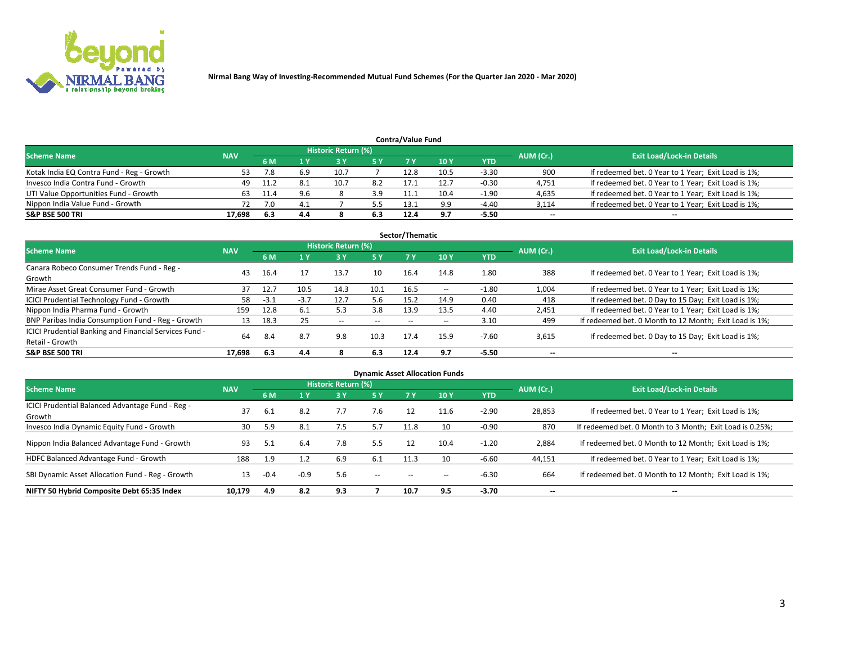

| <b>Contra/Value Fund</b><br>Historic Return (%) |            |      |     |      |     |      |      |         |           |                                                     |  |  |  |  |
|-------------------------------------------------|------------|------|-----|------|-----|------|------|---------|-----------|-----------------------------------------------------|--|--|--|--|
| <b>Scheme Name</b>                              | <b>NAV</b> | 6 M  |     |      | 5 Y | 7 Y  | 10Y  | YTD     | AUM (Cr.) | <b>Exit Load/Lock-in Details</b>                    |  |  |  |  |
| Kotak India EQ Contra Fund - Reg - Growth       | 53         |      | 6.9 | 10.7 |     | 12.8 | 10.5 | $-3.30$ | 900       | If redeemed bet. 0 Year to 1 Year; Exit Load is 1%; |  |  |  |  |
| Invesco India Contra Fund - Growth              | 49         |      |     |      | 8.2 |      | 12.7 | $-0.30$ | 4,751     | If redeemed bet. 0 Year to 1 Year; Exit Load is 1%; |  |  |  |  |
| UTI Value Opportunities Fund - Growth           | 63         | 11.4 | 9.6 |      | 3.9 |      | 10.4 | $-1.90$ | 4,635     | If redeemed bet. 0 Year to 1 Year; Exit Load is 1%; |  |  |  |  |
| Nippon India Value Fund - Growth                |            |      | 4.1 |      | 5.5 | 13.1 | 9.9  | $-4.40$ | 3,114     | If redeemed bet. 0 Year to 1 Year; Exit Load is 1%; |  |  |  |  |
| <b>S&amp;P BSE 500 TRI</b>                      | 17.698     | 6.3  | 4.4 |      | 6.3 | 12.4 | 9.7  | $-5.50$ | $\sim$    | $- -$                                               |  |  |  |  |

| Sector/Thematic                                                           |            |        |        |                     |       |       |                          |            |                          |                                                        |  |  |  |  |
|---------------------------------------------------------------------------|------------|--------|--------|---------------------|-------|-------|--------------------------|------------|--------------------------|--------------------------------------------------------|--|--|--|--|
| <b>Scheme Name</b>                                                        | <b>NAV</b> |        |        | Historic Return (%) |       |       |                          |            | AUM (Cr.)                | <b>Exit Load/Lock-in Details</b>                       |  |  |  |  |
|                                                                           |            | 6 M    | 1 Y    | 73 Y                | 15 Y  | 7 Y   | 10Y                      | <b>YTD</b> |                          |                                                        |  |  |  |  |
| Canara Robeco Consumer Trends Fund - Reg -<br>Growth                      | 43         | 16.4   |        | 13.7                | 10    | 16.4  | 14.8                     | 1.80       | 388                      | If redeemed bet. 0 Year to 1 Year; Exit Load is 1%;    |  |  |  |  |
| Mirae Asset Great Consumer Fund - Growth                                  | 37         | 12.7   | 10.5   | 14.3                | 10.1  | 16.5  | $\overline{\phantom{a}}$ | $-1.80$    | 1,004                    | If redeemed bet. 0 Year to 1 Year; Exit Load is 1%;    |  |  |  |  |
| ICICI Prudential Technology Fund - Growth                                 | 58         | $-3.1$ | $-3.7$ | 12.7                | 5.6   | 15.2  | 14.9                     | 0.40       | 418                      | If redeemed bet. 0 Day to 15 Day; Exit Load is 1%;     |  |  |  |  |
| Nippon India Pharma Fund - Growth                                         | 159        | 12.8   | 6.1    | 5.3                 | 3.8   | 13.9  | 13.5                     | 4.40       | 2,451                    | If redeemed bet. 0 Year to 1 Year; Exit Load is 1%;    |  |  |  |  |
| BNP Paribas India Consumption Fund - Reg - Growth                         | 13         | 18.3   | 25     | $- -$               | $- -$ | $- -$ | $- -$                    | 3.10       | 499                      | If redeemed bet. 0 Month to 12 Month; Exit Load is 1%; |  |  |  |  |
| ICICI Prudential Banking and Financial Services Fund -<br>Retail - Growth | 64         | 8.4    | 8.7    | 9.8                 | 10.3  | 17.4  | 15.9                     | $-7.60$    | 3,615                    | If redeemed bet. 0 Day to 15 Day; Exit Load is 1%;     |  |  |  |  |
| <b>S&amp;P BSE 500 TRI</b>                                                | 17.698     | 6.3    | 4.4    |                     | 6.3   | 12.4  | 9.7                      | $-5.50$    | $\overline{\phantom{a}}$ | $\overline{\phantom{a}}$                               |  |  |  |  |

|                                                            |            |        |        |                            |       |           | <b>Dynamic Asset Allocation Funds</b> |            |           |                                                          |
|------------------------------------------------------------|------------|--------|--------|----------------------------|-------|-----------|---------------------------------------|------------|-----------|----------------------------------------------------------|
| <b>Scheme Name</b>                                         | <b>NAV</b> |        |        | <b>Historic Return (%)</b> |       |           |                                       |            | AUM (Cr.) | <b>Exit Load/Lock-in Details</b>                         |
|                                                            |            | 6 M    |        | 73 Y                       | 5 Y   | <b>7Y</b> | 10 <sub>Y</sub>                       | <b>YTD</b> |           |                                                          |
| ICICI Prudential Balanced Advantage Fund - Reg -<br>Growth | 37         | 6.1    | 8.2    | 7.7                        | 7.6   | 12        | 11.6                                  | $-2.90$    | 28,853    | If redeemed bet. 0 Year to 1 Year; Exit Load is 1%;      |
| Invesco India Dynamic Equity Fund - Growth                 | 30         | 5.9    | 8.1    | 7.5                        | 5.7   | 11.8      | 10                                    | $-0.90$    | 870       | If redeemed bet. 0 Month to 3 Month; Exit Load is 0.25%; |
| Nippon India Balanced Advantage Fund - Growth              | 93         | 5.1    | 6.4    | 7.8                        | 5.5   | 12        | 10.4                                  | $-1.20$    | 2,884     | If redeemed bet. 0 Month to 12 Month; Exit Load is 1%;   |
| HDFC Balanced Advantage Fund - Growth                      | 188        | 1.9    |        | 6.9                        | 6.1   | 11.3      | 10                                    | $-6.60$    | 44,151    | If redeemed bet. 0 Year to 1 Year; Exit Load is 1%;      |
| SBI Dynamic Asset Allocation Fund - Reg - Growth           | 13         | $-0.4$ | $-0.9$ | 5.6                        | $- -$ | --        |                                       | $-6.30$    | 664       | If redeemed bet. 0 Month to 12 Month; Exit Load is 1%;   |
| NIFTY 50 Hybrid Composite Debt 65:35 Index                 | 10,179     | 4.9    | 8.2    | 9.3                        |       | 10.7      | 9.5                                   | $-3.70$    | $\sim$    | $\overline{\phantom{a}}$                                 |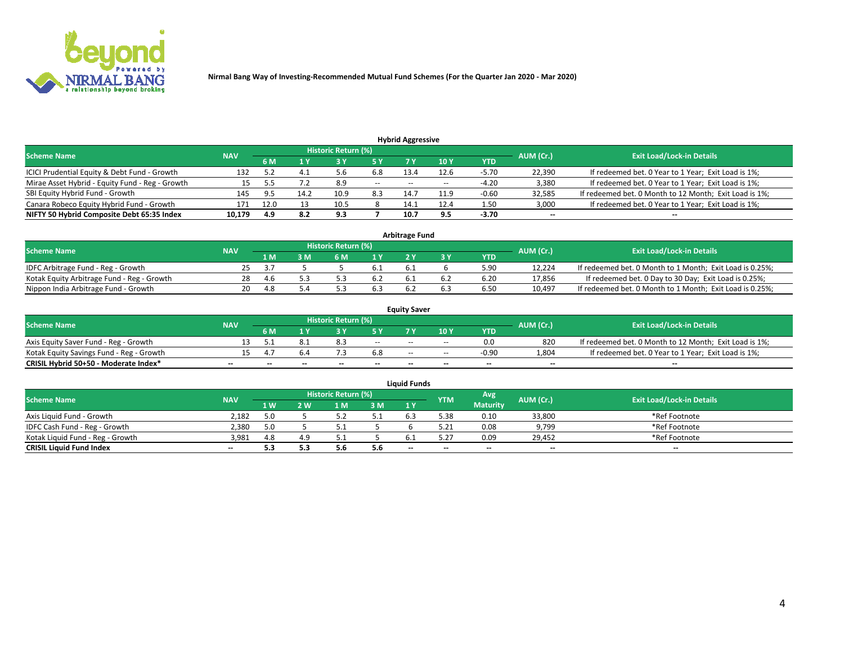

| <b>Hybrid Aggressive</b>                        |                                  |       |      |      |        |                          |       |         |                          |                                                        |  |  |  |  |
|-------------------------------------------------|----------------------------------|-------|------|------|--------|--------------------------|-------|---------|--------------------------|--------------------------------------------------------|--|--|--|--|
| <b>Scheme Name</b>                              | <b>Exit Load/Lock-in Details</b> |       |      |      |        |                          |       |         |                          |                                                        |  |  |  |  |
|                                                 | <b>NAV</b>                       | 6 M   |      |      |        |                          | 10Y   | YTD     | AUM (Cr.)                |                                                        |  |  |  |  |
| ICICI Prudential Equity & Debt Fund - Growth    | 132                              |       | 4.1  |      | 6.8    | 13.4                     | 12.6  | $-5.70$ | 22,390                   | If redeemed bet. 0 Year to 1 Year; Exit Load is 1%;    |  |  |  |  |
| Mirae Asset Hybrid - Equity Fund - Reg - Growth | 15                               |       | 7.2  | 8.9  | $\sim$ | $\overline{\phantom{a}}$ | $- -$ | $-4.20$ | 3,380                    | If redeemed bet. 0 Year to 1 Year; Exit Load is 1%;    |  |  |  |  |
| SBI Equity Hybrid Fund - Growth                 | 145                              | $Q$ 5 | 14.2 | 10.9 | 8.3    | 14.7                     | 11.9  | $-0.60$ | 32,585                   | If redeemed bet. 0 Month to 12 Month; Exit Load is 1%; |  |  |  |  |
| Canara Robeco Equity Hybrid Fund - Growth       | 171                              | 12.0  | 13   | 10.5 |        | 14.1                     | 12.4  | 1.50    | 3,000                    | If redeemed bet. 0 Year to 1 Year; Exit Load is 1%;    |  |  |  |  |
| NIFTY 50 Hybrid Composite Debt 65:35 Index      | 10,179                           | 4.9   | 8.2  | 9.3  |        | 10.7                     | 9.5   | $-3.70$ | $\overline{\phantom{a}}$ | $- -$                                                  |  |  |  |  |

|                                            |            |           |                                  |     |     | <b>Arbitrage Fund</b> |      |        |                                                          |
|--------------------------------------------|------------|-----------|----------------------------------|-----|-----|-----------------------|------|--------|----------------------------------------------------------|
| Scheme Name                                | <b>NAV</b> | AUM (Cr.) | <b>Exit Load/Lock-in Details</b> |     |     |                       |      |        |                                                          |
|                                            |            | 1 M       | ßΜ                               | 6 M |     |                       | YTD  |        |                                                          |
| IDFC Arbitrage Fund - Reg - Growth         | 25         |           |                                  |     | 6.1 | <b>b.</b>             | 5.90 | 12.224 | If redeemed bet. 0 Month to 1 Month; Exit Load is 0.25%; |
| Kotak Equity Arbitrage Fund - Reg - Growth | 28         | -4.6      |                                  |     | 6.2 |                       | 6.20 | 17,856 | If redeemed bet. 0 Day to 30 Day; Exit Load is 0.25%;    |
| Nippon India Arbitrage Fund - Growth       | 20         | 4.8       |                                  |     | 6.3 |                       | 6.50 | 10.497 | If redeemed bet. 0 Month to 1 Month; Exit Load is 0.25%; |

|                                          |            |            |                                  |                          |                          | <b>Equity Saver</b> |               |            |                          |                                                        |
|------------------------------------------|------------|------------|----------------------------------|--------------------------|--------------------------|---------------------|---------------|------------|--------------------------|--------------------------------------------------------|
| Scheme Name                              | <b>NAV</b> | AUM (Cr.)  | <b>Exit Load/Lock-in Details</b> |                          |                          |                     |               |            |                          |                                                        |
|                                          |            | <b>6 M</b> |                                  |                          | 5 Y                      |                     | $\sqrt{10}$ Y | <b>YTD</b> |                          |                                                        |
| Axis Equity Saver Fund - Reg - Growth    |            |            |                                  |                          | $\sim$                   | $-$                 | $- -$         | 0.0        | 820                      | If redeemed bet. 0 Month to 12 Month; Exit Load is 1%; |
| Kotak Equity Savings Fund - Reg - Growth |            |            |                                  |                          | 6.8                      | $- -$               | $- -$         | $-0.90$    | 1,804                    | If redeemed bet. 0 Year to 1 Year; Exit Load is 1%;    |
| CRISIL Hybrid 50+50 - Moderate Index*    |            | $- -$      | $-$                              | $\overline{\phantom{a}}$ | $\overline{\phantom{a}}$ | $\sim$              | --            | $\sim$     | $\overline{\phantom{a}}$ | $- -$                                                  |

| <b>Liauid Funds</b>              |                 |                |     |                            |     |        |            |                 |           |                                  |  |  |  |  |
|----------------------------------|-----------------|----------------|-----|----------------------------|-----|--------|------------|-----------------|-----------|----------------------------------|--|--|--|--|
| Scheme Name                      | <b>NAV</b>      |                |     | <b>Historic Return (%)</b> |     |        | <b>YTM</b> | Avg             | AUM (Cr.) | <b>Exit Load/Lock-in Details</b> |  |  |  |  |
|                                  |                 | 1 <sub>W</sub> | 2 W | l M                        | 3 M | 1Y     |            | <b>Maturity</b> |           |                                  |  |  |  |  |
| Axis Liquid Fund - Growth        | 2.182           |                |     |                            |     | 6.3    | 5.38       | 0.10            | 33,800    | *Ref Footnote                    |  |  |  |  |
| IDFC Cash Fund - Reg - Growth    | 2.380           | 5.0            |     |                            |     |        | 5.21       | 0.08            | 9,799     | *Ref Footnote                    |  |  |  |  |
| Kotak Liguid Fund - Reg - Growth | 3,981           | 4.8            |     |                            |     |        | 5.2'       | 0.09            | 29,452    | *Ref Footnote                    |  |  |  |  |
| <b>CRISIL Liquid Fund Index</b>  | $\qquad \qquad$ |                | 5.3 | 5.b                        | 5.6 | $\sim$ | --         | $-$             | $\sim$    | $\sim$                           |  |  |  |  |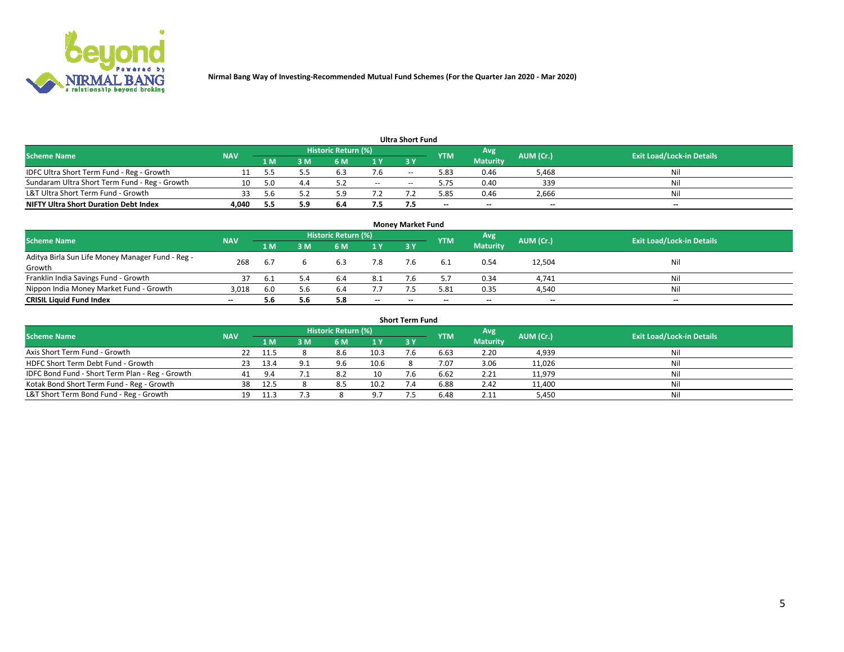

| <b>Ultra Short Fund</b>                       |            |     |     |                     |        |            |            |                 |           |                                  |  |  |  |  |
|-----------------------------------------------|------------|-----|-----|---------------------|--------|------------|------------|-----------------|-----------|----------------------------------|--|--|--|--|
| <b>Scheme Name</b>                            | <b>NAV</b> |     |     | Historic Return (%) |        |            | <b>YTM</b> | Avg             | AUM (Cr.) | <b>Exit Load/Lock-in Details</b> |  |  |  |  |
|                                               |            | 1 M | 3 M | 6 M                 | 1 Y    | <b>3 Y</b> |            | <b>Maturity</b> |           |                                  |  |  |  |  |
| IDFC Ultra Short Term Fund - Reg - Growth     |            |     |     | 'ರ.ಎ                | 7.6    | $-$        | 5.83       | 0.46            | 5,468     | Nil                              |  |  |  |  |
| Sundaram Ultra Short Term Fund - Reg - Growth |            |     |     |                     | $\sim$ | $-$        | 5.75       | 0.40            | 339       | Nil                              |  |  |  |  |
| L&T Ultra Short Term Fund - Growth            |            | 56  |     |                     |        |            | 5.85       | 0.46            | 2,666     | Nil                              |  |  |  |  |
| <b>NIFTY Ultra Short Duration Debt Index</b>  | 4.040      |     | 5.9 | 6.4                 | 7.5    |            | $-$        | $-$             | $\sim$    | $- -$                            |  |  |  |  |

| <b>Money Market Fund</b>                         |            |      |     |                     |        |    |            |                 |           |                                  |  |  |  |
|--------------------------------------------------|------------|------|-----|---------------------|--------|----|------------|-----------------|-----------|----------------------------------|--|--|--|
| <b>Scheme Name</b>                               | <b>NAV</b> |      |     | Historic Return (%) |        |    | <b>YTM</b> | 'Avg            | AUM (Cr.) | <b>Exit Load/Lock-in Details</b> |  |  |  |
|                                                  |            | 1 M  | 3 M | 6 M                 | 1 Y    | 3Y |            | <b>Maturity</b> |           |                                  |  |  |  |
| Aditya Birla Sun Life Money Manager Fund - Reg - | 268        | 6.7  |     | 6.3                 | 7.8    |    |            | 0.54            | 12,504    | Nil                              |  |  |  |
| Growth<br>Franklin India Savings Fund - Growth   |            | -6.1 | 5.4 | 6.4                 | 8.1    |    |            | 0.34            | 4,741     | Nil                              |  |  |  |
| Nippon India Money Market Fund - Growth          | 3,018      | 6.0  | 5.6 | 6.4                 | 7.7    |    | 5.81       | 0.35            | 4,540     | Nil                              |  |  |  |
| <b>CRISIL Liquid Fund Index</b>                  | $- -$      | 5.6  | 5.6 | 5.8                 | $\sim$ | -- | --         | $\sim$          | $\sim$    | $\sim$                           |  |  |  |

| <b>Short Term Fund</b>                          |            |        |     |                     |      |           |            |                 |           |                                  |  |  |  |
|-------------------------------------------------|------------|--------|-----|---------------------|------|-----------|------------|-----------------|-----------|----------------------------------|--|--|--|
| <b>Scheme Name</b>                              | <b>NAV</b> |        |     | Historic Return (%) |      |           | <b>YTM</b> | Avg             | AUM (Cr.) | <b>Exit Load/Lock-in Details</b> |  |  |  |
|                                                 |            | 1 M    | 3 M | 6 M                 | 1Y   | <b>3Y</b> |            | <b>Maturity</b> |           |                                  |  |  |  |
| Axis Short Term Fund - Growth                   |            | - 11.5 |     | 8.6                 | 10.3 |           | 6.63       | 2.20            | 4,939     | Nil                              |  |  |  |
| HDFC Short Term Debt Fund - Growth              | 23.        | 13.4   | 9.1 | 9.6                 | 10.6 |           | 7.07       | 3.06            | 11,026    | Nil                              |  |  |  |
| IDFC Bond Fund - Short Term Plan - Reg - Growth | 41         | 9.4    |     | 8.2                 | 10   |           | 6.62       | 2.21            | 11,979    | Nil                              |  |  |  |
| Kotak Bond Short Term Fund - Reg - Growth       | 38         | 12.5   |     | 8.5                 | 10.2 |           | 6.88       | 2.42            | 11,400    | Nil                              |  |  |  |
| L&T Short Term Bond Fund - Reg - Growth         |            | -11.3  |     |                     | 97   |           | 6.48       | 2.11            | 5,450     | Nil                              |  |  |  |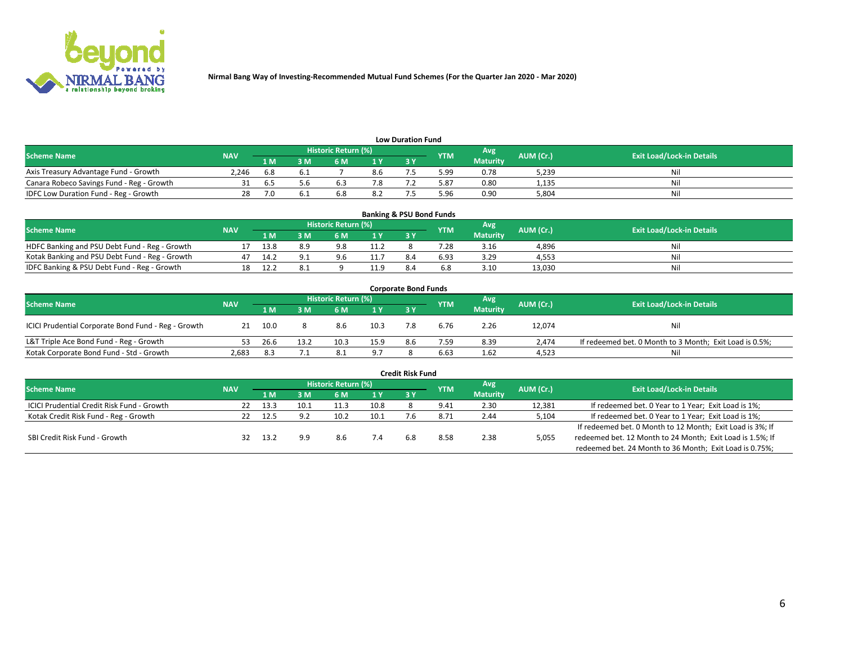

| <b>Low Duration Fund</b>                  |            |     |     |                     |                |     |            |                 |           |                                  |  |  |  |  |
|-------------------------------------------|------------|-----|-----|---------------------|----------------|-----|------------|-----------------|-----------|----------------------------------|--|--|--|--|
| <b>Scheme Name</b>                        | <b>NAV</b> |     |     | Historic Return (%) |                |     | <b>YTM</b> | Avg             | AUM (Cr.) | <b>Exit Load/Lock-in Details</b> |  |  |  |  |
|                                           |            | 1 M | sм  | 6 M                 | 1 <sub>V</sub> | 3 Y |            | <b>Maturity</b> |           |                                  |  |  |  |  |
| Axis Treasury Advantage Fund - Growth     | 2.246      | 6.8 |     |                     | 8.6            |     | 5.99       | 0.78            | 5,239     | Nil                              |  |  |  |  |
| Canara Robeco Savings Fund - Reg - Growth |            | 6.5 | 5.b |                     | 1.8            |     | 5.87       | 0.80            | 1,135     | Nil                              |  |  |  |  |
| IDFC Low Duration Fund - Reg - Growth     | 28         |     |     | b.ŏ                 | 8.2            |     | .96ذ       | 0.90            | 5.804     | Nil                              |  |  |  |  |

| <b>Banking &amp; PSU Bond Funds</b>            |            |      |     |                            |      |           |            |                 |           |                                  |  |  |  |
|------------------------------------------------|------------|------|-----|----------------------------|------|-----------|------------|-----------------|-----------|----------------------------------|--|--|--|
| <b>Scheme Name</b>                             | <b>NAV</b> |      |     | <b>Historic Return (%)</b> |      |           | <b>YTM</b> | Avg             | AUM (Cr.) | <b>Exit Load/Lock-in Details</b> |  |  |  |
|                                                |            | 1 M  | sм  | 6 M                        | 71 Y | <b>3Y</b> |            | <b>Maturity</b> |           |                                  |  |  |  |
| HDFC Banking and PSU Debt Fund - Reg - Growth  |            | 13.8 | 8.9 | 9.8                        | 11.2 |           | 7.28       | 3.16            | 4,896     | Ni                               |  |  |  |
| Kotak Banking and PSU Debt Fund - Reg - Growth |            | 14.7 |     | 9.6                        | 11.7 | 8.4       | 6.93       | 3.29            | 4.553     | Ni                               |  |  |  |
| IDFC Banking & PSU Debt Fund - Reg - Growth    |            | 12.  |     |                            | 11.9 |           |            | 3.10            | 13.030    | Ni                               |  |  |  |

| <b>Corporate Bond Funds</b>                         |            |                                  |      |      |      |            |            |                 |        |                                                         |  |  |  |  |
|-----------------------------------------------------|------------|----------------------------------|------|------|------|------------|------------|-----------------|--------|---------------------------------------------------------|--|--|--|--|
| <b>Scheme Name</b>                                  | AUM (Cr.)  | <b>Exit Load/Lock-in Details</b> |      |      |      |            |            |                 |        |                                                         |  |  |  |  |
|                                                     | <b>NAV</b> | 1 M                              | 8 M  | 6 M  | 1 Y  | <b>3 Y</b> | <b>YTM</b> | <b>Maturity</b> |        |                                                         |  |  |  |  |
| ICICI Prudential Corporate Bond Fund - Reg - Growth |            | 10.0                             |      | 8.6  | 10.3 |            | 6.76       | 2.26            | 12,074 | Nil                                                     |  |  |  |  |
| L&T Triple Ace Bond Fund - Reg - Growth             |            | 26.6                             | 13.2 | 10.3 | 15.9 | 8.6        | 7.59       | 8.39            | 2.474  | If redeemed bet. 0 Month to 3 Month; Exit Load is 0.5%; |  |  |  |  |
| Kotak Corporate Bond Fund - Std - Growth            | 2,683      | 8.3                              | 7.1  | 8.1  | 9.7  |            | 6.63       | 1.62            | 4,523  | Nil                                                     |  |  |  |  |

| <b>Credit Risk Fund</b>                    |            |      |      |                     |      |           |            |                 |           |                                                           |  |  |  |
|--------------------------------------------|------------|------|------|---------------------|------|-----------|------------|-----------------|-----------|-----------------------------------------------------------|--|--|--|
| <b>Scheme Name</b>                         | <b>NAV</b> |      |      | Historic Return (%) |      |           | <b>YTM</b> | Avg             | AUM (Cr.) | <b>Exit Load/Lock-in Details</b>                          |  |  |  |
|                                            |            | 1 M  | 3 M  | .6 M                | 1 Y  | <b>3Y</b> |            | <b>Maturity</b> |           |                                                           |  |  |  |
| ICICI Prudential Credit Risk Fund - Growth | 22         | 13.3 | 10.1 | 11.3                | 10.8 |           | 9.41       | 2.30            | 12,381    | If redeemed bet. 0 Year to 1 Year; Exit Load is 1%;       |  |  |  |
| Kotak Credit Risk Fund - Reg - Growth      |            | 12.5 | 9.2  | 10.2                | 10.1 |           | 8.72       | 2.44            | 5,104     | If redeemed bet. 0 Year to 1 Year; Exit Load is 1%;       |  |  |  |
|                                            |            |      |      |                     |      |           |            |                 |           | If redeemed bet. 0 Month to 12 Month; Exit Load is 3%; If |  |  |  |
| SBI Credit Risk Fund - Growth              | 32         | 13.2 |      | 8.6                 |      | 6.8       | 8.58       | 2.38            | 5,055     | redeemed bet. 12 Month to 24 Month; Exit Load is 1.5%; If |  |  |  |
|                                            |            |      |      |                     |      |           |            |                 |           | redeemed bet. 24 Month to 36 Month; Exit Load is 0.75%;   |  |  |  |